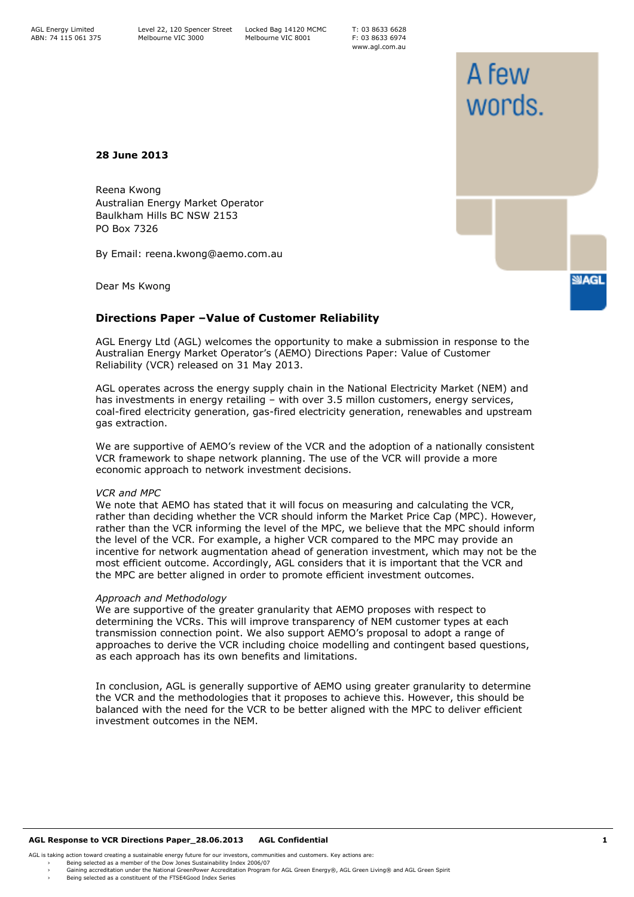T: 03 8633 6628 F: 03 8633 6974 www.agl.com.au

# **28 June 2013**

Reena Kwong Australian Energy Market Operator Baulkham Hills BC NSW 2153 PO Box 7326

By Email: reena.kwong@aemo.com.au

Dear Ms Kwong

# **Directions Paper –Value of Customer Reliability**

AGL Energy Ltd (AGL) welcomes the opportunity to make a submission in response to the Australian Energy Market Operator's (AEMO) Directions Paper: Value of Customer Reliability (VCR) released on 31 May 2013.

AGL operates across the energy supply chain in the National Electricity Market (NEM) and has investments in energy retailing – with over 3.5 millon customers, energy services, coal-fired electricity generation, gas-fired electricity generation, renewables and upstream gas extraction.

We are supportive of AEMO's review of the VCR and the adoption of a nationally consistent VCR framework to shape network planning. The use of the VCR will provide a more economic approach to network investment decisions.

## *VCR and MPC*

We note that AEMO has stated that it will focus on measuring and calculating the VCR, rather than deciding whether the VCR should inform the Market Price Cap (MPC). However, rather than the VCR informing the level of the MPC, we believe that the MPC should inform the level of the VCR. For example, a higher VCR compared to the MPC may provide an incentive for network augmentation ahead of generation investment, which may not be the most efficient outcome. Accordingly, AGL considers that it is important that the VCR and the MPC are better aligned in order to promote efficient investment outcomes.

## *Approach and Methodology*

We are supportive of the greater granularity that AEMO proposes with respect to determining the VCRs. This will improve transparency of NEM customer types at each transmission connection point. We also support AEMO's proposal to adopt a range of approaches to derive the VCR including choice modelling and contingent based questions, as each approach has its own benefits and limitations.

In conclusion, AGL is generally supportive of AEMO using greater granularity to determine the VCR and the methodologies that it proposes to achieve this. However, this should be balanced with the need for the VCR to be better aligned with the MPC to deliver efficient investment outcomes in the NEM.

### **AGL Response to VCR Directions Paper\_28.06.2013 AGL Confidential 1**

AGL is taking action toward creating a sustainable energy future for our investors, communities and customers. Key actions are:

› Being selected as a member of the Dow Jones Sustainability Index 2006/07<br>› Gaining accreditation under the National GreenPower Accreditation Program for AGL Green Energy®, AGL Green Iving® and AGL Green S

# A few words.

**SIAGL**